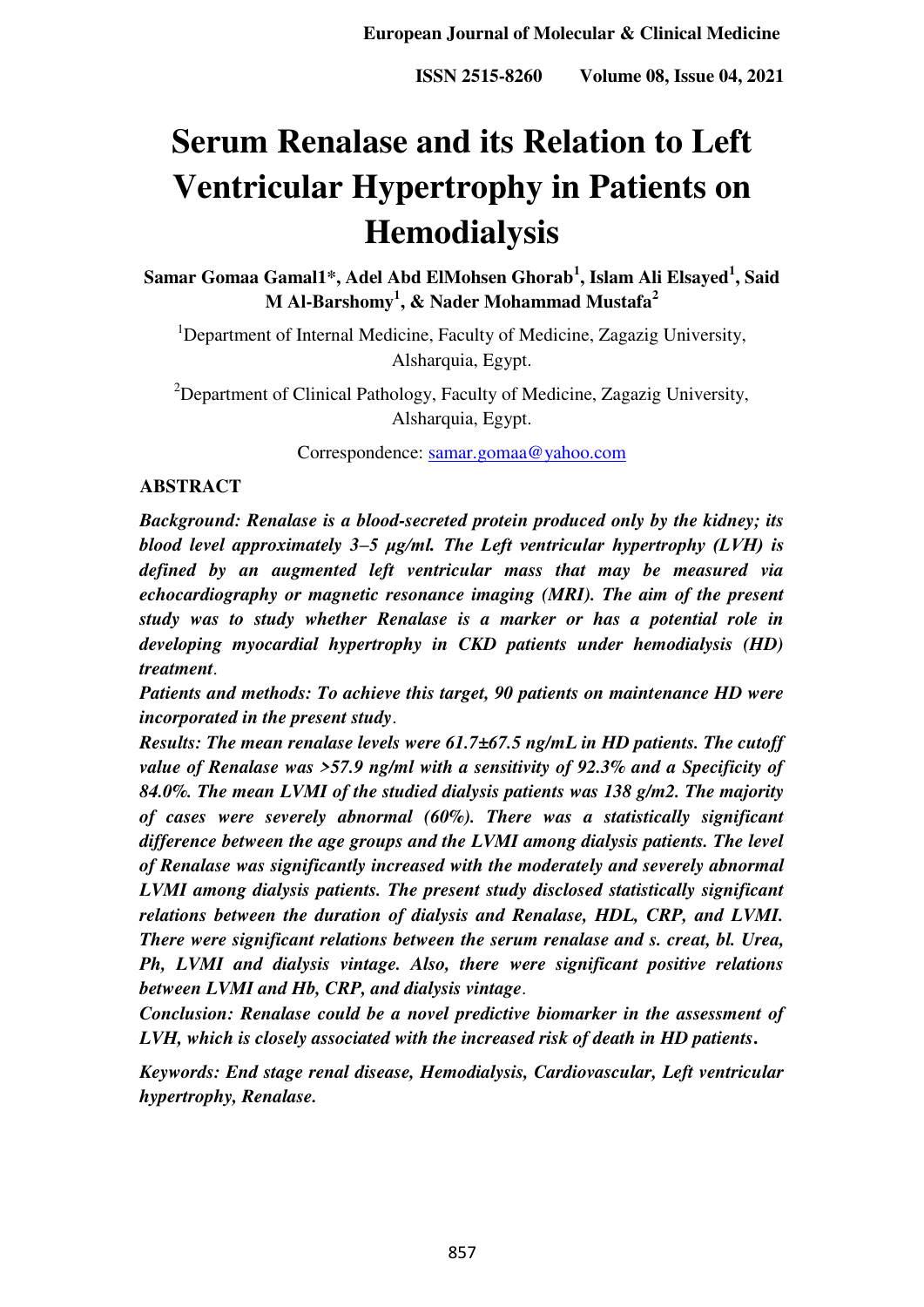# **Serum Renalase and its Relation to Left Ventricular Hypertrophy in Patients on Hemodialysis**

**Samar Gomaa Gamal1\*, Adel Abd ElMohsen Ghorab<sup>1</sup> , Islam Ali Elsayed<sup>1</sup> , Said M Al-Barshomy<sup>1</sup> , & Nader Mohammad Mustafa<sup>2</sup>**

<sup>1</sup>Department of Internal Medicine, Faculty of Medicine, Zagazig University, Alsharquia, Egypt.

<sup>2</sup>Department of Clinical Pathology, Faculty of Medicine, Zagazig University, Alsharquia, Egypt.

Correspondence: [samar.gomaa@yahoo.com](mailto:samar.gomaa@yahoo.com) 

### **ABSTRACT**

*Background: Renalase is a blood-secreted protein produced only by the kidney; its blood level approximately 3–5 μg/ml. The Left ventricular hypertrophy (LVH) is defined by an augmented left ventricular mass that may be measured via echocardiography or magnetic resonance imaging (MRI). The aim of the present study was to study whether Renalase is a marker or has a potential role in developing myocardial hypertrophy in CKD patients under hemodialysis (HD) treatment*.

*Patients and methods: To achieve this target, 90 patients on maintenance HD were incorporated in the present study*.

*Results: The mean renalase levels were 61.7±67.5 ng/mL in HD patients. The cutoff value of Renalase was >57.9 ng/ml with a sensitivity of 92.3% and a Specificity of 84.0%. The mean LVMI of the studied dialysis patients was 138 g/m2. The majority of cases were severely abnormal (60%). There was a statistically significant difference between the age groups and the LVMI among dialysis patients. The level of Renalase was significantly increased with the moderately and severely abnormal LVMI among dialysis patients. The present study disclosed statistically significant relations between the duration of dialysis and Renalase, HDL, CRP, and LVMI. There were significant relations between the serum renalase and s. creat, bl. Urea, Ph, LVMI and dialysis vintage. Also, there were significant positive relations between LVMI and Hb, CRP, and dialysis vintage*.

*Conclusion: Renalase could be a novel predictive biomarker in the assessment of LVH, which is closely associated with the increased risk of death in HD patients***.**

*Keywords: End stage renal disease, Hemodialysis, Cardiovascular, Left ventricular hypertrophy, Renalase.*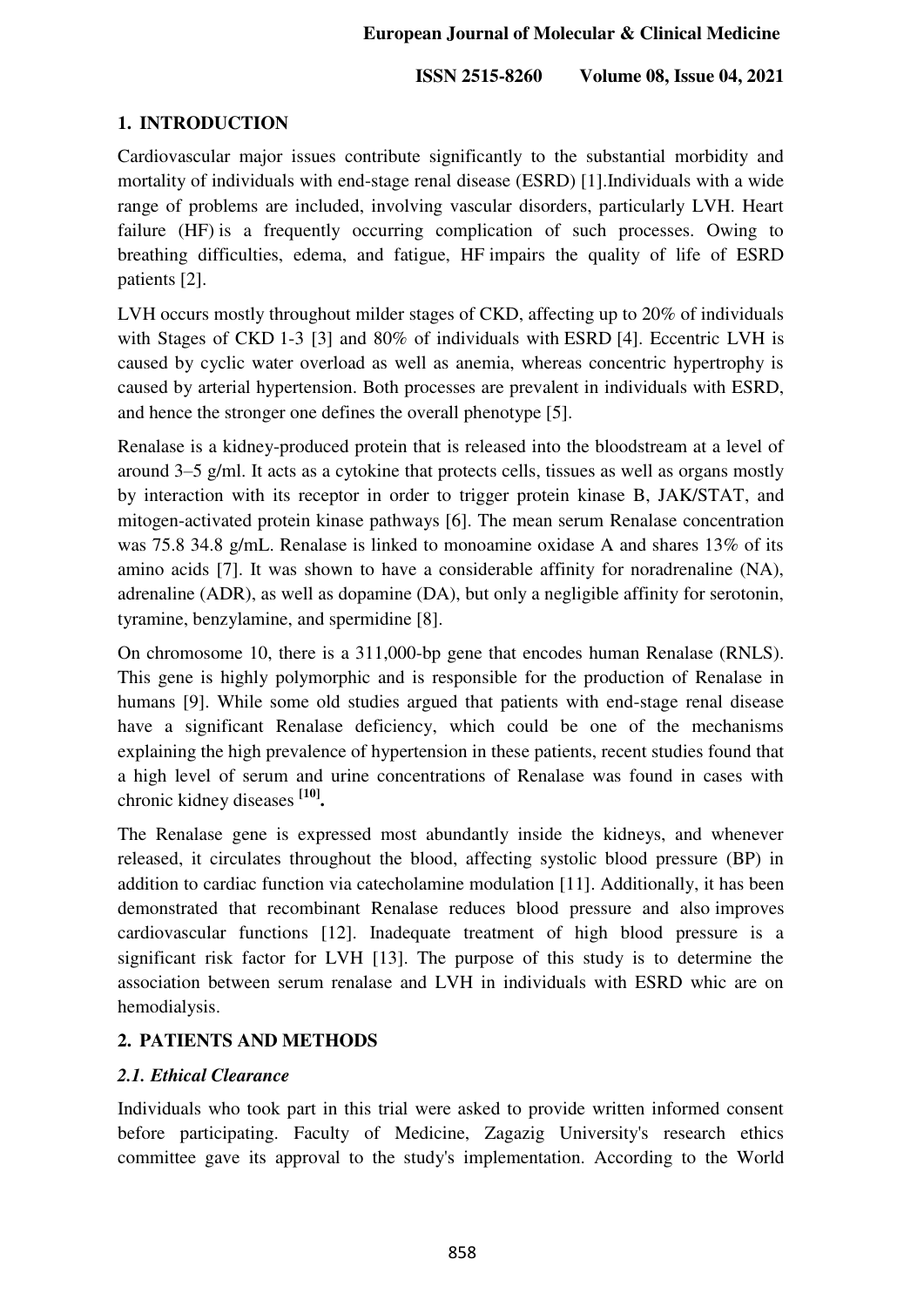# **1. INTRODUCTION**

Cardiovascular major issues contribute significantly to the substantial morbidity and mortality of individuals with end-stage renal disease (ESRD) [1].Individuals with a wide range of problems are included, involving vascular disorders, particularly LVH. Heart failure (HF) is a frequently occurring complication of such processes. Owing to breathing difficulties, edema, and fatigue, HF impairs the quality of life of ESRD patients [2].

LVH occurs mostly throughout milder stages of CKD, affecting up to 20% of individuals with Stages of CKD 1-3 [3] and 80% of individuals with ESRD [4]. Eccentric LVH is caused by cyclic water overload as well as anemia, whereas concentric hypertrophy is caused by arterial hypertension. Both processes are prevalent in individuals with ESRD, and hence the stronger one defines the overall phenotype [5].

Renalase is a kidney-produced protein that is released into the bloodstream at a level of around 3–5 g/ml. It acts as a cytokine that protects cells, tissues as well as organs mostly by interaction with its receptor in order to trigger protein kinase B, JAK/STAT, and mitogen-activated protein kinase pathways [6]. The mean serum Renalase concentration was 75.8 34.8 g/mL. Renalase is linked to monoamine oxidase A and shares 13% of its amino acids [7]. It was shown to have a considerable affinity for noradrenaline (NA), adrenaline (ADR), as well as dopamine (DA), but only a negligible affinity for serotonin, tyramine, benzylamine, and spermidine [8].

On chromosome 10, there is a 311,000-bp gene that encodes human Renalase (RNLS). This gene is highly polymorphic and is responsible for the production of Renalase in humans [9]. While some old studies argued that patients with end-stage renal disease have a significant Renalase deficiency, which could be one of the mechanisms explaining the high prevalence of hypertension in these patients, recent studies found that a high level of serum and urine concentrations of Renalase was found in cases with chronic kidney diseases **[10] .**

The Renalase gene is expressed most abundantly inside the kidneys, and whenever released, it circulates throughout the blood, affecting systolic blood pressure (BP) in addition to cardiac function via catecholamine modulation [11]. Additionally, it has been demonstrated that recombinant Renalase reduces blood pressure and also improves cardiovascular functions [12]. Inadequate treatment of high blood pressure is a significant risk factor for LVH [13]. The purpose of this study is to determine the association between serum renalase and LVH in individuals with ESRD whic are on hemodialysis.

# **2. PATIENTS AND METHODS**

## *2.1. Ethical Clearance*

Individuals who took part in this trial were asked to provide written informed consent before participating. Faculty of Medicine, Zagazig University's research ethics committee gave its approval to the study's implementation. According to the World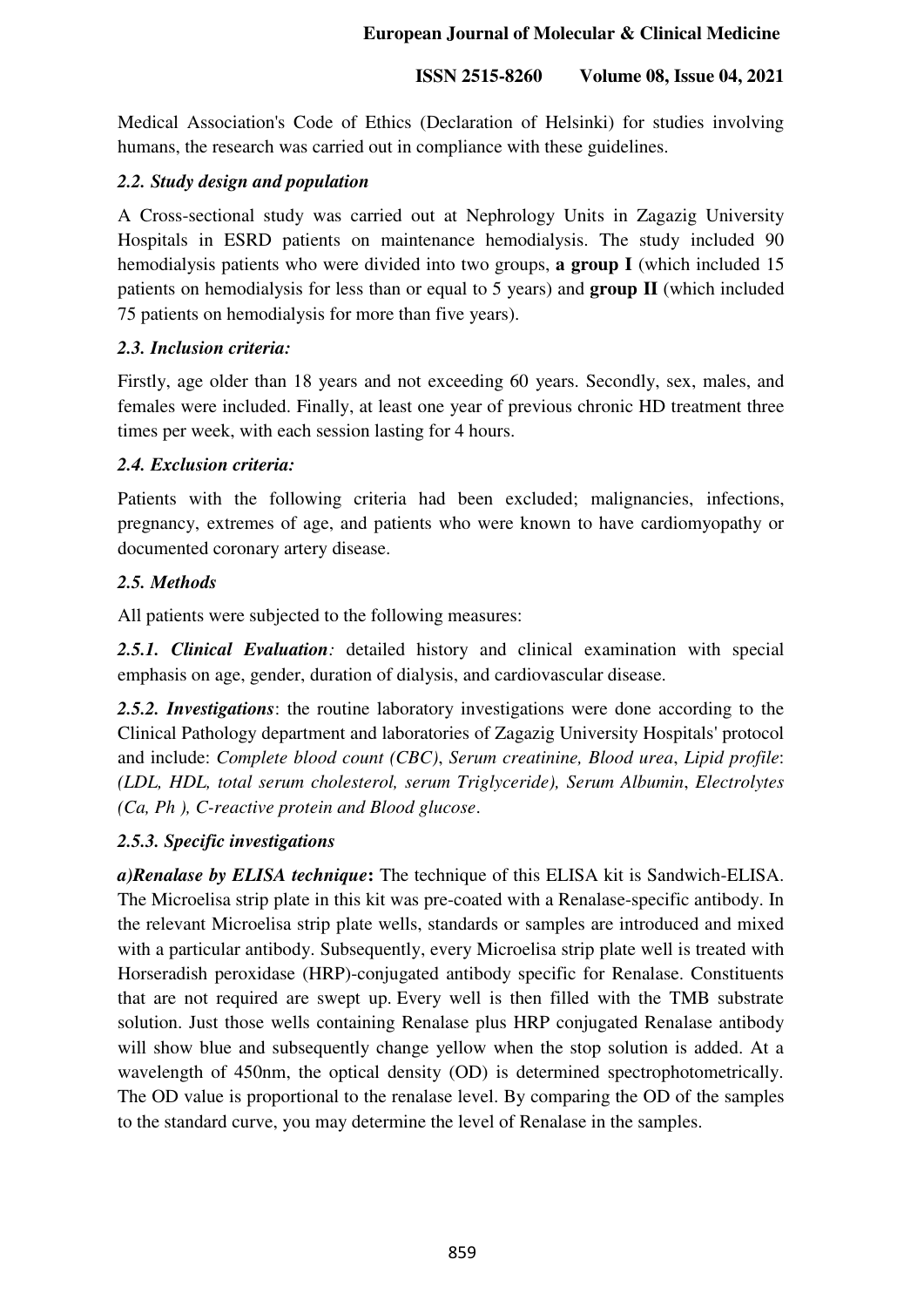Medical Association's Code of Ethics (Declaration of Helsinki) for studies involving humans, the research was carried out in compliance with these guidelines.

# *2.2. Study design and population*

A Cross-sectional study was carried out at Nephrology Units in Zagazig University Hospitals in ESRD patients on maintenance hemodialysis. The study included 90 hemodialysis patients who were divided into two groups, **a group I** (which included 15 patients on hemodialysis for less than or equal to 5 years) and **group II** (which included 75 patients on hemodialysis for more than five years).

# *2.3. Inclusion criteria:*

Firstly, age older than 18 years and not exceeding 60 years. Secondly, sex, males, and females were included. Finally, at least one year of previous chronic HD treatment three times per week, with each session lasting for 4 hours.

# *2.4. Exclusion criteria:*

Patients with the following criteria had been excluded; malignancies, infections, pregnancy, extremes of age, and patients who were known to have cardiomyopathy or documented coronary artery disease.

# *2.5. Methods*

All patients were subjected to the following measures:

*2.5.1. Clinical Evaluation:* detailed history and clinical examination with special emphasis on age, gender, duration of dialysis, and cardiovascular disease.

*2.5.2. Investigations*: the routine laboratory investigations were done according to the Clinical Pathology department and laboratories of Zagazig University Hospitals' protocol and include: *Complete blood count (CBC)*, *Serum creatinine, Blood urea*, *Lipid profile*: *(LDL, HDL, total serum cholesterol, serum Triglyceride), Serum Albumin*, *Electrolytes (Ca, Ph ), C-reactive protein and Blood glucose*.

# *2.5.3. Specific investigations*

*a)Renalase by ELISA technique***:** The technique of this ELISA kit is Sandwich-ELISA. The Microelisa strip plate in this kit was pre-coated with a Renalase-specific antibody. In the relevant Microelisa strip plate wells, standards or samples are introduced and mixed with a particular antibody. Subsequently, every Microelisa strip plate well is treated with Horseradish peroxidase (HRP)-conjugated antibody specific for Renalase. Constituents that are not required are swept up. Every well is then filled with the TMB substrate solution. Just those wells containing Renalase plus HRP conjugated Renalase antibody will show blue and subsequently change yellow when the stop solution is added. At a wavelength of 450nm, the optical density (OD) is determined spectrophotometrically. The OD value is proportional to the renalase level. By comparing the OD of the samples to the standard curve, you may determine the level of Renalase in the samples.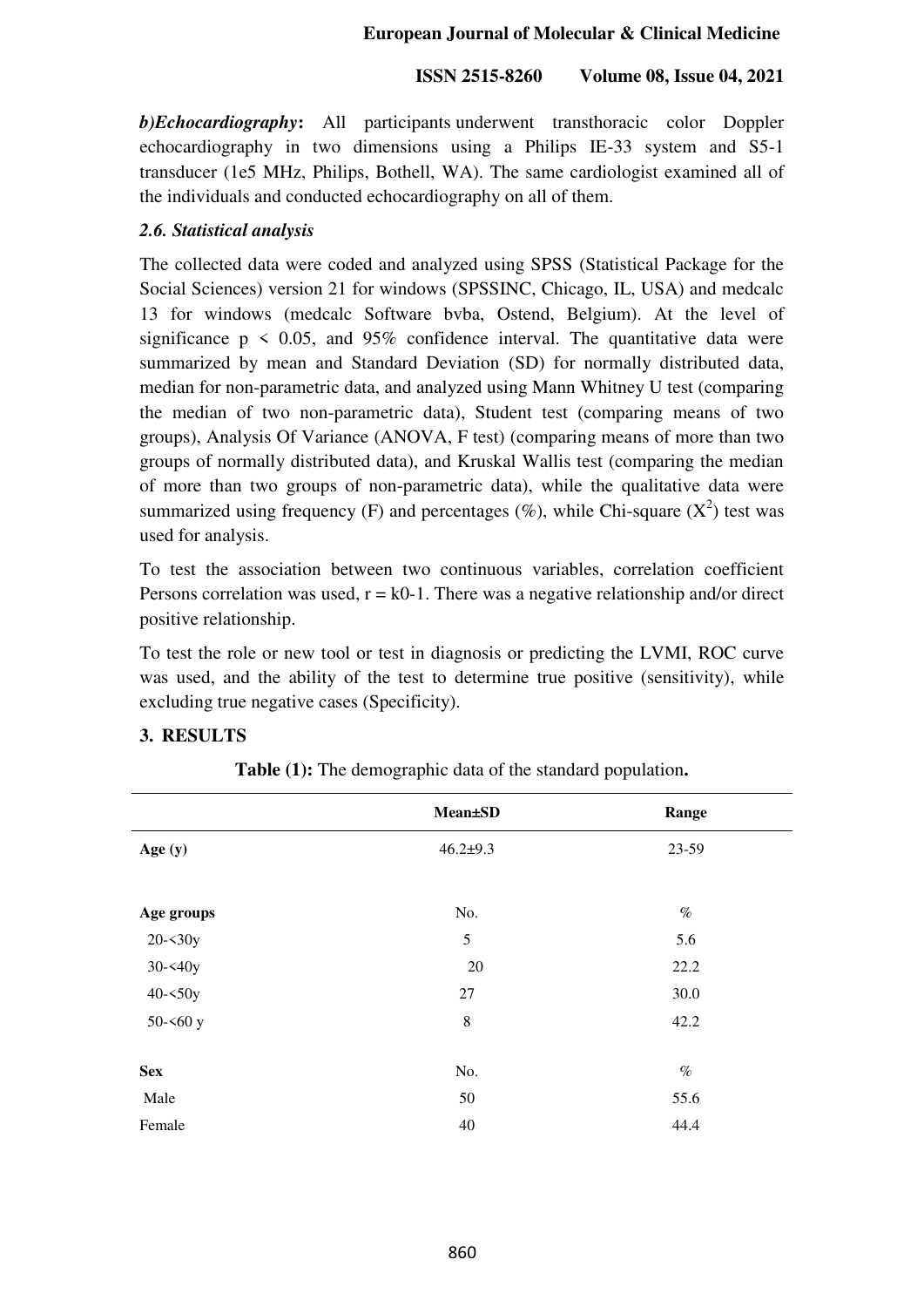*b)Echocardiography***:** All participants underwent transthoracic color Doppler echocardiography in two dimensions using a Philips IE-33 system and S5-1 transducer (1e5 MHz, Philips, Bothell, WA). The same cardiologist examined all of the individuals and conducted echocardiography on all of them.

## *2.6. Statistical analysis*

The collected data were coded and analyzed using SPSS (Statistical Package for the Social Sciences) version 21 for windows (SPSSINC, Chicago, IL, USA) and medcalc 13 for windows (medcalc Software bvba, Ostend, Belgium). At the level of significance  $p \leq 0.05$ , and 95% confidence interval. The quantitative data were summarized by mean and Standard Deviation (SD) for normally distributed data, median for non-parametric data, and analyzed using Mann Whitney U test (comparing the median of two non-parametric data), Student test (comparing means of two groups), Analysis Of Variance (ANOVA, F test) (comparing means of more than two groups of normally distributed data), and Kruskal Wallis test (comparing the median of more than two groups of non-parametric data), while the qualitative data were summarized using frequency (F) and percentages (%), while Chi-square  $(X^2)$  test was used for analysis.

To test the association between two continuous variables, correlation coefficient Persons correlation was used,  $r = k0-1$ . There was a negative relationship and/or direct positive relationship.

To test the role or new tool or test in diagnosis or predicting the LVMI, ROC curve was used, and the ability of the test to determine true positive (sensitivity), while excluding true negative cases (Specificity).

## **3. RESULTS**

|            | <b>Mean±SD</b> | Range |
|------------|----------------|-------|
| Age (y)    | $46.2 + 9.3$   | 23-59 |
|            |                |       |
| Age groups | No.            | $\%$  |
| $20 - 30y$ | 5              | 5.6   |
| $30 - 40y$ | 20             | 22.2  |
| $40 - 50y$ | 27             | 30.0  |
| $50 - 60y$ | $\,8\,$        | 42.2  |
|            |                |       |
| <b>Sex</b> | No.            | $\%$  |
| Male       | 50             | 55.6  |
| Female     | 40             | 44.4  |

**Table (1):** The demographic data of the standard population**.**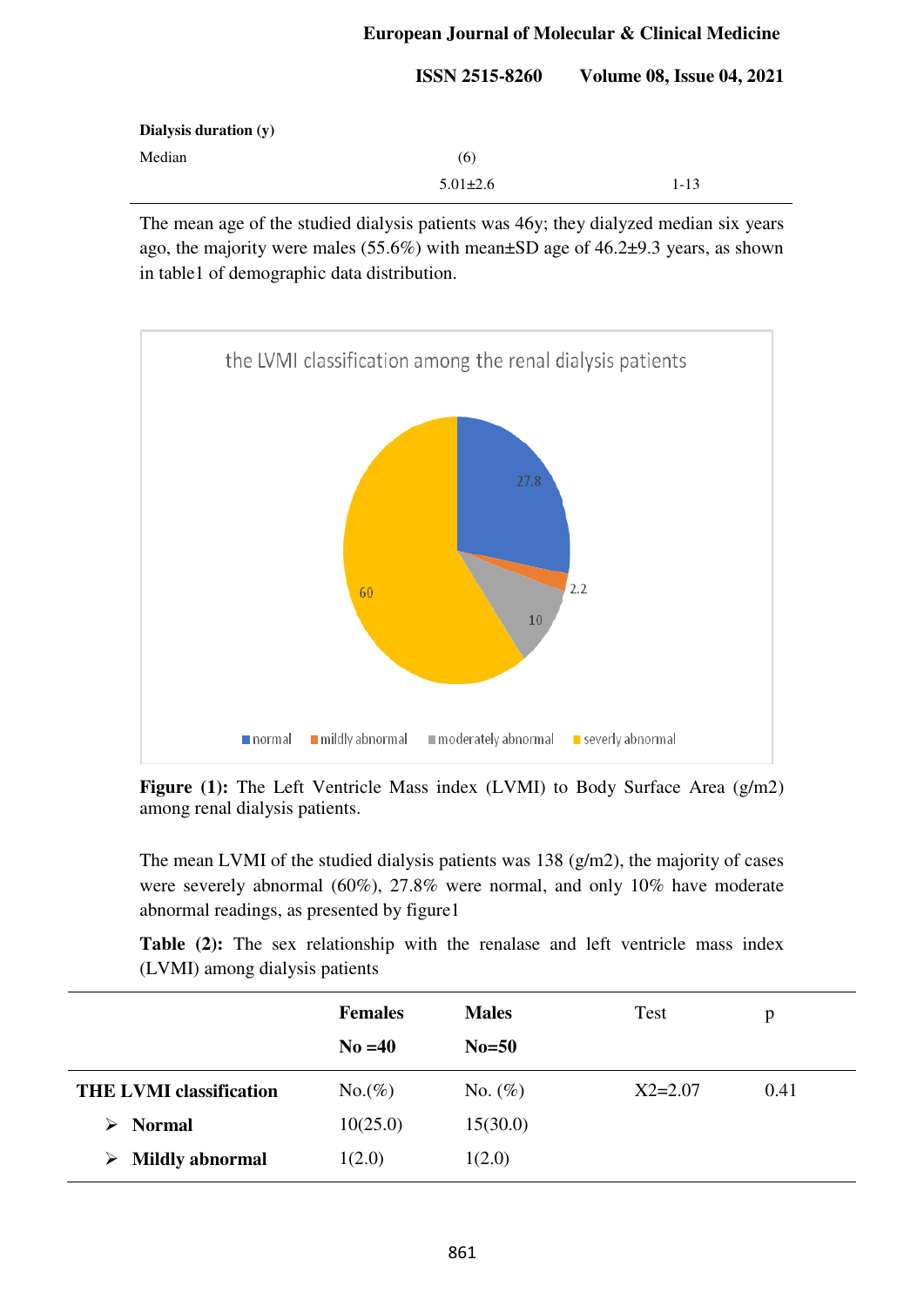|                       | <b>ISSN 2515-8260</b> | <b>Volume 08, Issue 04, 2021</b> |
|-----------------------|-----------------------|----------------------------------|
| Dialysis duration (y) |                       |                                  |
| Median                | (6)                   |                                  |
|                       | $5.01 \pm 2.6$        | $1 - 13$                         |

The mean age of the studied dialysis patients was 46y; they dialyzed median six years ago, the majority were males (55.6%) with mean±SD age of 46.2±9.3 years, as shown in table1 of demographic data distribution.



Figure (1): The Left Ventricle Mass index (LVMI) to Body Surface Area (g/m2) among renal dialysis patients.

The mean LVMI of the studied dialysis patients was 138 (g/m2), the majority of cases were severely abnormal (60%), 27.8% were normal, and only 10% have moderate abnormal readings, as presented by figure1

**Table (2):** The sex relationship with the renalase and left ventricle mass index (LVMI) among dialysis patients

|                                | <b>Females</b>   | <b>Males</b> | <b>Test</b> | p    |
|--------------------------------|------------------|--------------|-------------|------|
|                                | $\text{No} = 40$ | $No=50$      |             |      |
| <b>THE LVMI classification</b> | $No.(\%)$        | No. $(\%)$   | $X2 = 2.07$ | 0.41 |
| <b>Normal</b><br>➤             | 10(25.0)         | 15(30.0)     |             |      |
| <b>Mildly abnormal</b><br>➤    | 1(2.0)           | 1(2.0)       |             |      |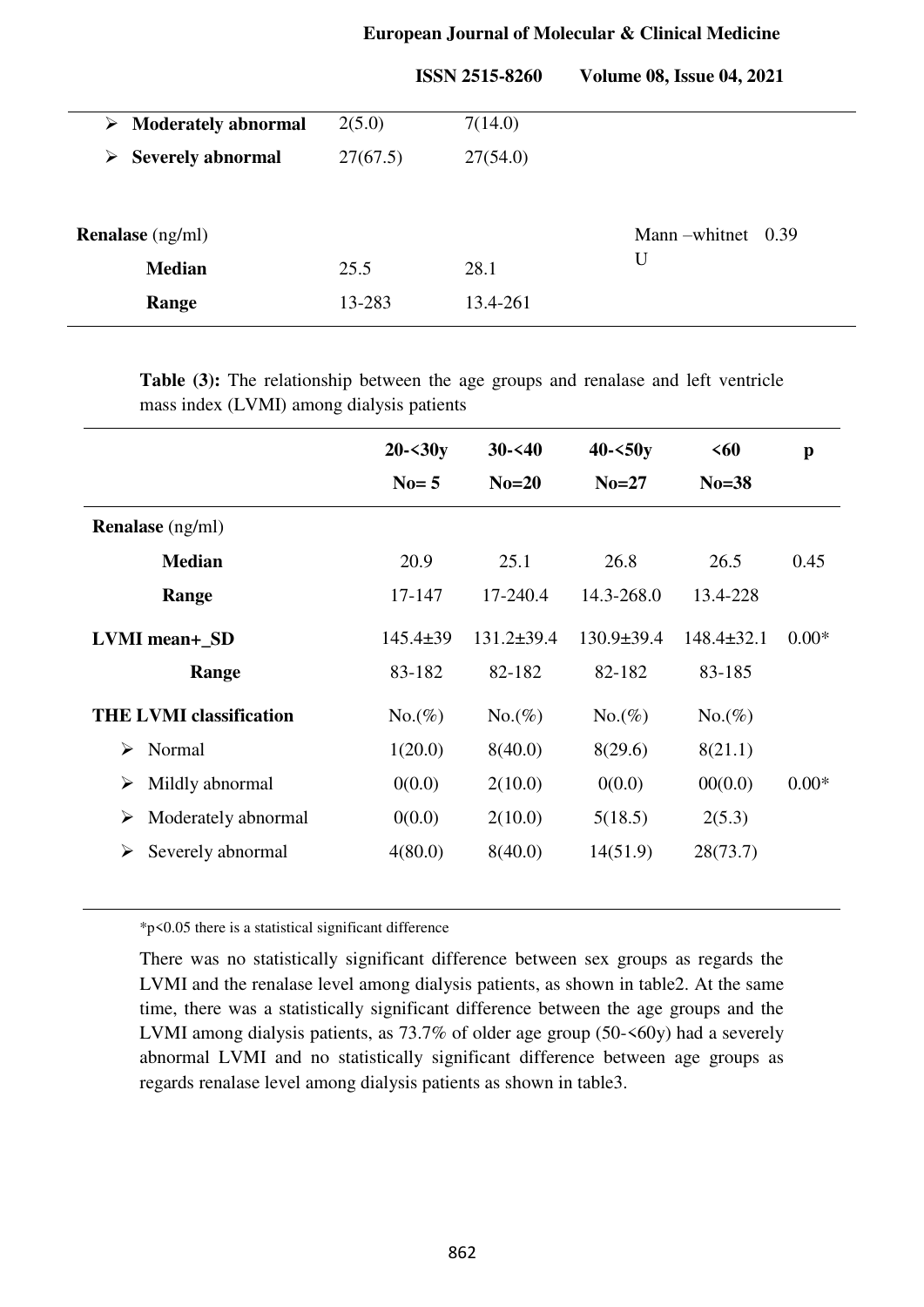|  | <b>European Journal of Molecular &amp; Clinical Medicine</b> |
|--|--------------------------------------------------------------|
|--|--------------------------------------------------------------|

|   |                                      |          | <b>ISSN 2515-8260</b> | <b>Volume 08, Issue 04, 2021</b> |
|---|--------------------------------------|----------|-----------------------|----------------------------------|
|   | $\triangleright$ Moderately abnormal | 2(5.0)   | 7(14.0)               |                                  |
| ➤ | <b>Severely abnormal</b>             | 27(67.5) | 27(54.0)              |                                  |
|   |                                      |          |                       |                                  |
|   | <b>Renalase</b> (ng/ml)              |          |                       | Mann – whitnet<br>0.39           |
|   | <b>Median</b>                        | 25.5     | 28.1                  | U                                |
|   | Range                                | 13-283   | 13.4-261              |                                  |

**Table (3):** The relationship between the age groups and renalase and left ventricle mass index (LVMI) among dialysis patients

|                                | $20 - 30y$     | $30 - 40$        | $40 - 50y$       | <60              | $\mathbf{p}$ |
|--------------------------------|----------------|------------------|------------------|------------------|--------------|
|                                | $No=5$         | $No=20$          | $No=27$          | $No = 38$        |              |
| <b>Renalase</b> (ng/ml)        |                |                  |                  |                  |              |
| <b>Median</b>                  | 20.9           | 25.1             | 26.8             | 26.5             | 0.45         |
| Range                          | 17-147         | 17-240.4         | 14.3-268.0       | 13.4-228         |              |
| <b>LVMI</b> mean+ SD           | $145.4 \pm 39$ | $131.2 \pm 39.4$ | $130.9 \pm 39.4$ | $148.4 \pm 32.1$ | $0.00*$      |
| Range                          | 83-182         | 82-182           | 82-182           | 83-185           |              |
| <b>THE LVMI classification</b> | $No.(\%)$      | $No.(\%)$        | $No.(\%)$        | $No.(\%)$        |              |
| Normal<br>➤                    | 1(20.0)        | 8(40.0)          | 8(29.6)          | 8(21.1)          |              |
| Mildly abnormal<br>≻           | 0(0.0)         | 2(10.0)          | 0(0.0)           | 00(0.0)          | $0.00*$      |
| Moderately abnormal<br>≻       | 0(0.0)         | 2(10.0)          | 5(18.5)          | 2(5.3)           |              |
| Severely abnormal<br>≻         | 4(80.0)        | 8(40.0)          | 14(51.9)         | 28(73.7)         |              |

\*p<0.05 there is a statistical significant difference

There was no statistically significant difference between sex groups as regards the LVMI and the renalase level among dialysis patients, as shown in table2. At the same time, there was a statistically significant difference between the age groups and the LVMI among dialysis patients, as 73.7% of older age group (50- $\leq 60y$ ) had a severely abnormal LVMI and no statistically significant difference between age groups as regards renalase level among dialysis patients as shown in table3.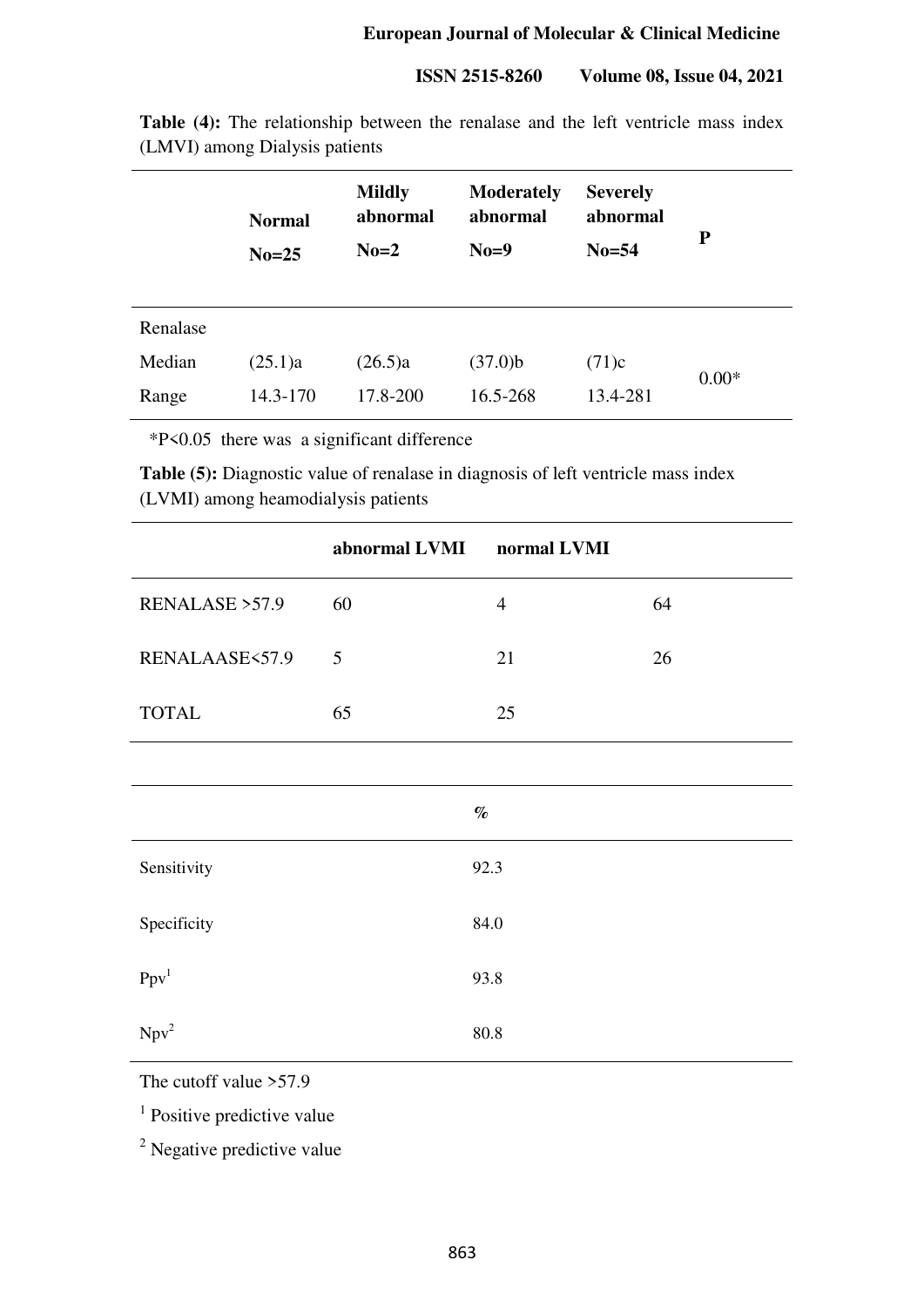| <b>Table (4):</b> The relationship between the renalase and the left ventricle mass index |  |  |  |  |
|-------------------------------------------------------------------------------------------|--|--|--|--|
| (LMVI) among Dialysis patients                                                            |  |  |  |  |
|                                                                                           |  |  |  |  |

|          | <b>Normal</b><br>$No=25$ | <b>Mildly</b><br>abnormal<br>$No=2$ | <b>Moderately</b><br>abnormal<br>$No=9$ | <b>Severely</b><br>abnormal<br>$No=54$ | P       |
|----------|--------------------------|-------------------------------------|-----------------------------------------|----------------------------------------|---------|
| Renalase |                          |                                     |                                         |                                        |         |
| Median   | (25.1)a                  | (26.5)a                             | $(37.0)$ b                              | (71)c                                  | $0.00*$ |
| Range    | 14.3-170                 | 17.8-200                            | 16.5-268                                | 13.4-281                               |         |

\*P<0.05 there was a significant difference

**Table (5):** Diagnostic value of renalase in diagnosis of left ventricle mass index (LVMI) among heamodialysis patients

|                  | abnormal LVMI | normal LVMI    |    |
|------------------|---------------|----------------|----|
| RENALASE > 57.9  | 60            | $\overline{4}$ | 64 |
| RENALAASE<57.9   | 5             | 21             | 26 |
| <b>TOTAL</b>     | 65            | 25             |    |
|                  |               |                |    |
|                  |               | $\%$           |    |
| Sensitivity      |               | 92.3           |    |
| Specificity      |               | 84.0           |    |
| Ppv <sup>1</sup> |               | 93.8           |    |
| Npv <sup>2</sup> |               | 80.8           |    |

The cutoff value >57.9

<sup>1</sup> Positive predictive value

<sup>2</sup> Negative predictive value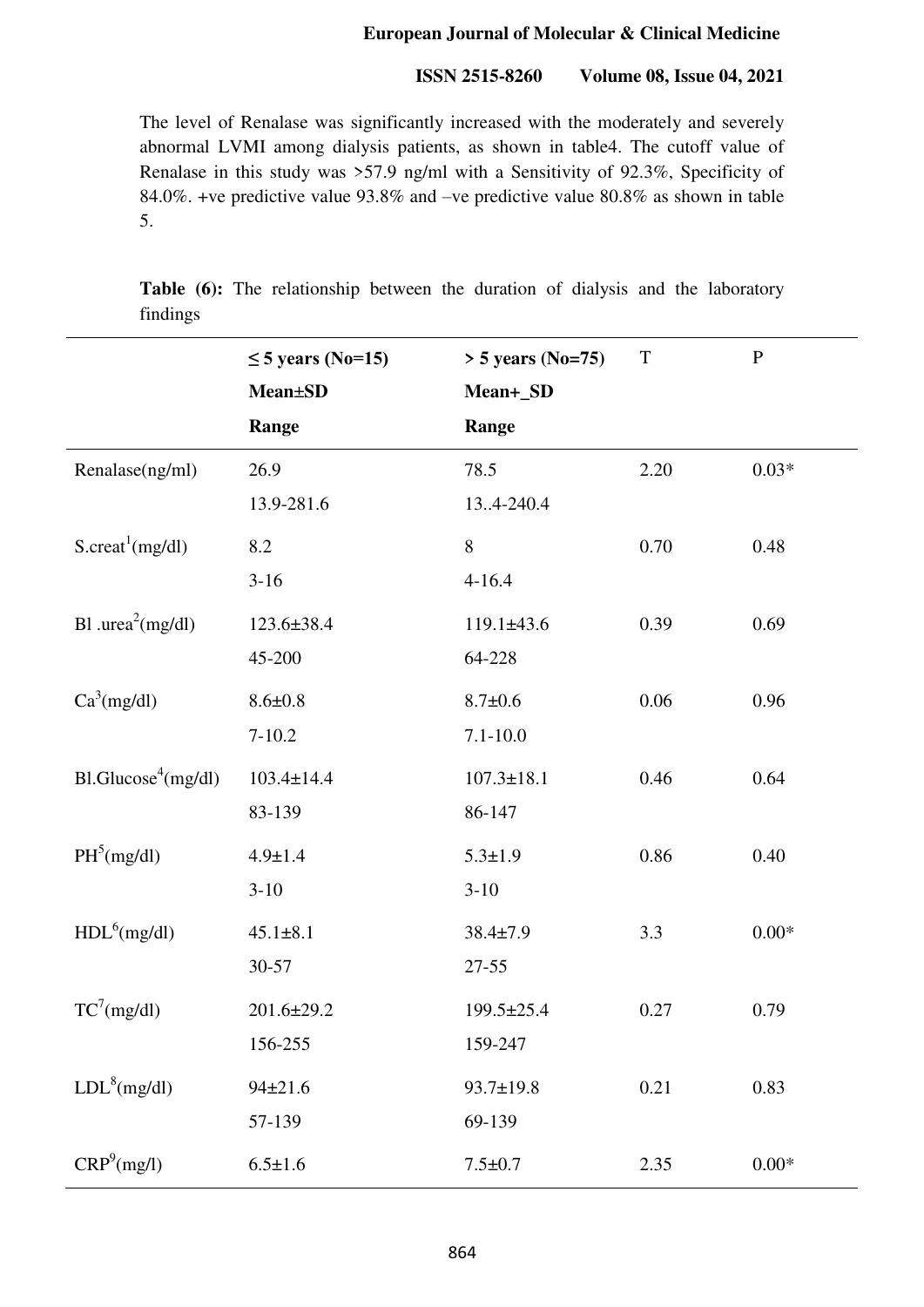#### **ISSN 2515-8260 Volume 08, Issue 04, 2021**

The level of Renalase was significantly increased with the moderately and severely abnormal LVMI among dialysis patients, as shown in table4. The cutoff value of Renalase in this study was >57.9 ng/ml with a Sensitivity of 92.3%, Specificity of 84.0%. +ve predictive value 93.8% and –ve predictive value 80.8% as shown in table 5.

**Table (6):** The relationship between the duration of dialysis and the laboratory findings

|                                | $\leq$ 5 years (No=15)<br><b>Mean±SD</b><br>Range | $> 5$ years (No=75)<br>Mean+_SD<br>Range | $\mathbf T$ | $\mathbf{P}$ |
|--------------------------------|---------------------------------------------------|------------------------------------------|-------------|--------------|
| Renalase(ng/ml)                | 26.9<br>13.9-281.6                                | 78.5<br>134-240.4                        | 2.20        | $0.03*$      |
| S.create <sup>1</sup> (mg/dl)  | 8.2<br>$3 - 16$                                   | $8\,$<br>$4 - 16.4$                      | 0.70        | 0.48         |
| Bl .urea <sup>2</sup> (mg/dl)  | $123.6 \pm 38.4$<br>45-200                        | $119.1 \pm 43.6$<br>64-228               | 0.39        | 0.69         |
| $Ca^3(mg/dl)$                  | $8.6 \pm 0.8$<br>$7 - 10.2$                       | $8.7 \pm 0.6$<br>$7.1 - 10.0$            | 0.06        | 0.96         |
| B1.Glucos <sup>4</sup> (mg/dl) | $103.4 \pm 14.4$<br>83-139                        | $107.3 \pm 18.1$<br>86-147               | 0.46        | 0.64         |
| PH <sup>5</sup> (mg/dl)        | $4.9 \pm 1.4$<br>$3-10$                           | $5.3 \pm 1.9$<br>$3 - 10$                | 0.86        | 0.40         |
| HDL <sup>6</sup> (mg/dl)       | $45.1 \pm 8.1$<br>30-57                           | $38.4 \pm 7.9$<br>$27 - 55$              | 3.3         | $0.00*$      |
| $TC^7$ (mg/dl)                 | $201.6 \pm 29.2$<br>156-255                       | 199.5±25.4<br>159-247                    | 0.27        | 0.79         |
| LDL <sup>8</sup> (mg/dl)       | $94 \pm 21.6$<br>57-139                           | 93.7±19.8<br>69-139                      | 0.21        | 0.83         |
| CRP <sup>9</sup> (mg/l)        | $6.5 \pm 1.6$                                     | $7.5 \pm 0.7$                            | 2.35        | $0.00*$      |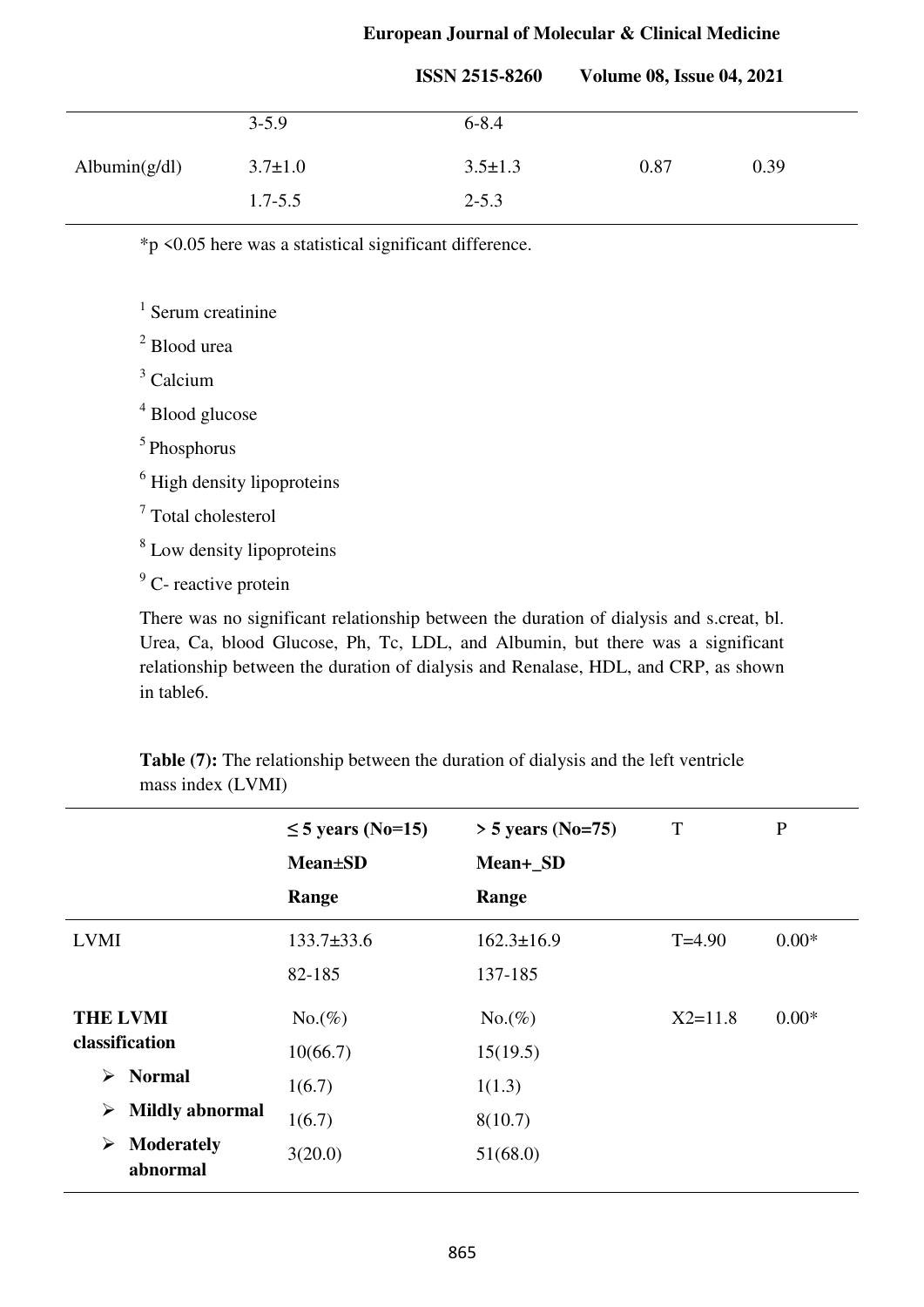|                  |               | <b>ISSN 2515-8260</b> | <b>Volume 08, Issue 04, 2021</b> |      |  |
|------------------|---------------|-----------------------|----------------------------------|------|--|
|                  | $3 - 5.9$     | $6 - 8.4$             |                                  |      |  |
| Albumin $(g/dl)$ | $3.7 \pm 1.0$ | $3.5 \pm 1.3$         | 0.87                             | 0.39 |  |
|                  | $1.7 - 5.5$   | $2 - 5.3$             |                                  |      |  |

\*p <0.05 here was a statistical significant difference.

<sup>1</sup> Serum creatinine

2 Blood urea

3 Calcium

4 Blood glucose

<sup>5</sup> Phosphorus

<sup>6</sup> High density lipoproteins

7 Total cholesterol

<sup>8</sup> Low density lipoproteins

<sup>9</sup> C- reactive protein

There was no significant relationship between the duration of dialysis and s.creat, bl. Urea, Ca, blood Glucose, Ph, Tc, LDL, and Albumin, but there was a significant relationship between the duration of dialysis and Renalase, HDL, and CRP, as shown in table6.

**Table (7):** The relationship between the duration of dialysis and the left ventricle mass index (LVMI)

|                                    | $\leq$ 5 years (No=15) | $>$ 5 years (No=75) | T           | $\mathbf P$ |
|------------------------------------|------------------------|---------------------|-------------|-------------|
|                                    | <b>Mean</b> ±SD        | Mean+_SD            |             |             |
|                                    | Range                  | Range               |             |             |
| <b>LVMI</b>                        | $133.7 \pm 33.6$       | $162.3 \pm 16.9$    | $T=4.90$    | $0.00*$     |
|                                    | 82-185                 | 137-185             |             |             |
| <b>THE LVMI</b>                    | $No.(\%)$              | $No.(\%)$           | $X2 = 11.8$ | $0.00*$     |
| classification                     | 10(66.7)               | 15(19.5)            |             |             |
| <b>Normal</b><br>➤                 | 1(6.7)                 | 1(1.3)              |             |             |
| <b>Mildly abnormal</b><br>➤        | 1(6.7)                 | 8(10.7)             |             |             |
| <b>Moderately</b><br>➤<br>abnormal | 3(20.0)                | 51(68.0)            |             |             |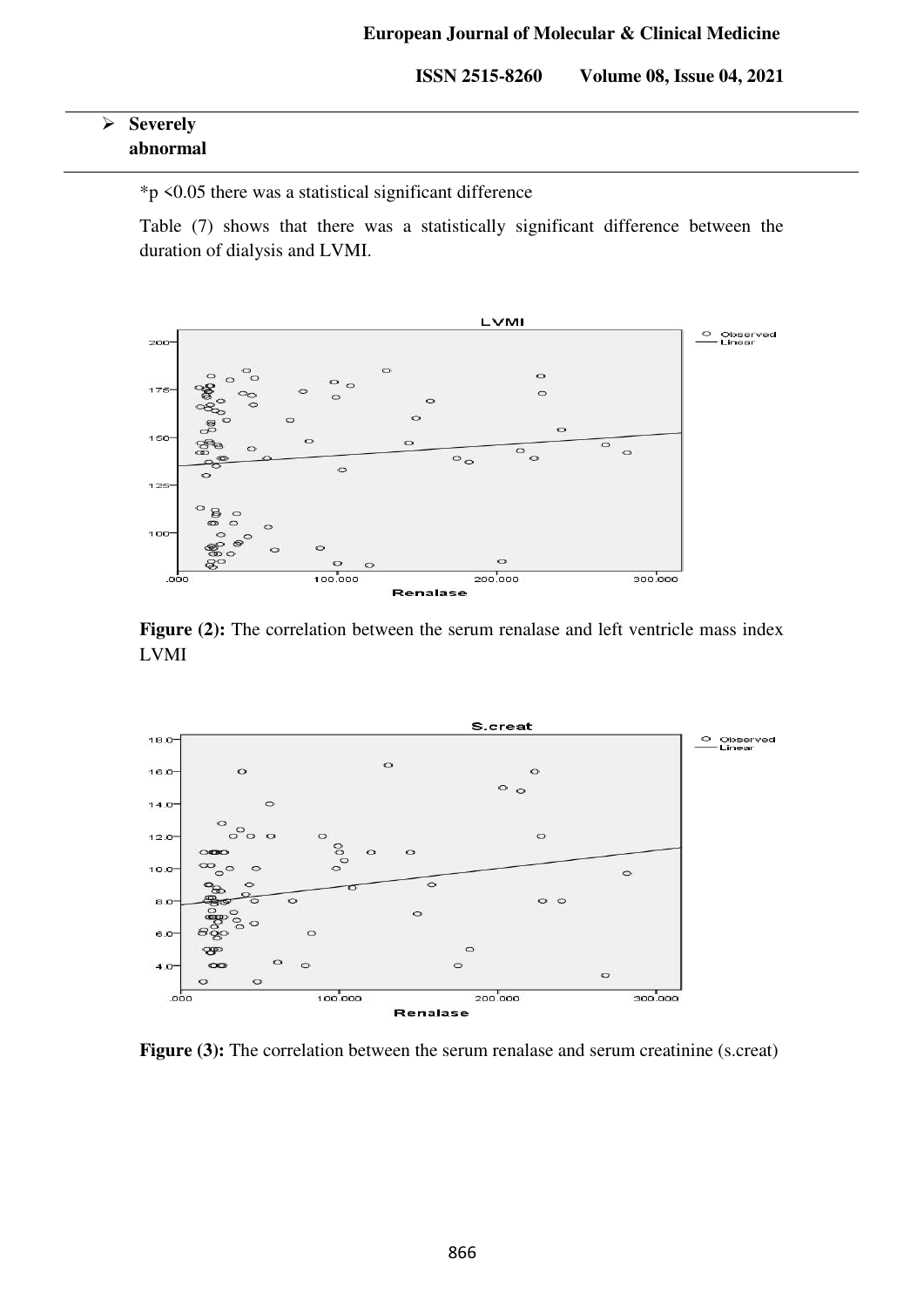| $\triangleright$ Severely |
|---------------------------|
| abnormal                  |

\*p <0.05 there was a statistical significant difference

Table (7) shows that there was a statistically significant difference between the duration of dialysis and LVMI.



**Figure (2):** The correlation between the serum renalase and left ventricle mass index LVMI



**Figure (3):** The correlation between the serum renalase and serum creatinine (s.creat)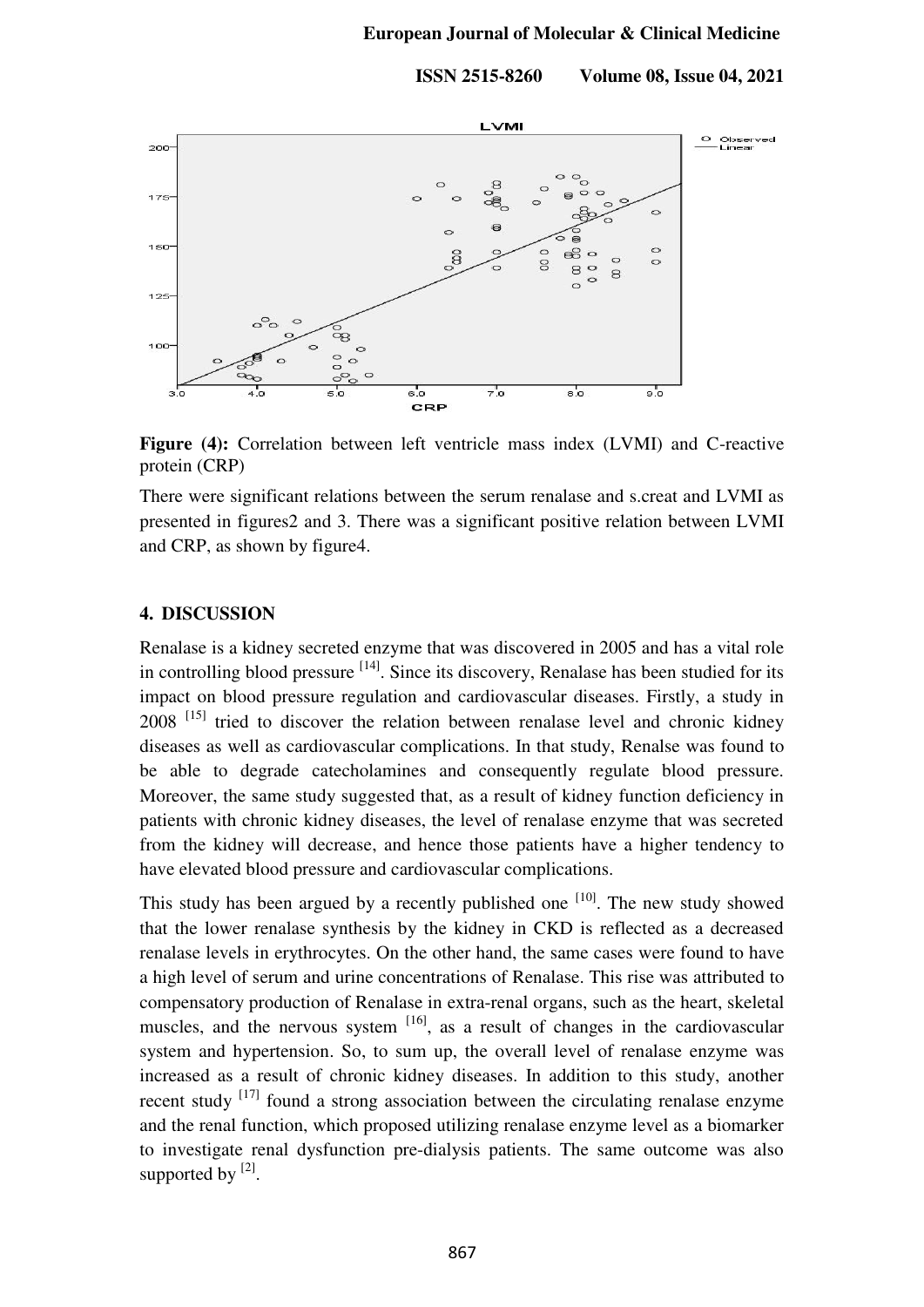

**Figure (4):** Correlation between left ventricle mass index (LVMI) and C-reactive protein (CRP)

There were significant relations between the serum renalase and s.creat and LVMI as presented in figures2 and 3. There was a significant positive relation between LVMI and CRP, as shown by figure4.

#### **4. DISCUSSION**

Renalase is a kidney secreted enzyme that was discovered in 2005 and has a vital role in controlling blood pressure <sup>[14]</sup>. Since its discovery, Renalase has been studied for its impact on blood pressure regulation and cardiovascular diseases. Firstly, a study in  $2008$ <sup>[15]</sup> tried to discover the relation between renalase level and chronic kidney diseases as well as cardiovascular complications. In that study, Renalse was found to be able to degrade catecholamines and consequently regulate blood pressure. Moreover, the same study suggested that, as a result of kidney function deficiency in patients with chronic kidney diseases, the level of renalase enzyme that was secreted from the kidney will decrease, and hence those patients have a higher tendency to have elevated blood pressure and cardiovascular complications.

This study has been argued by a recently published one  $[10]$ . The new study showed that the lower renalase synthesis by the kidney in CKD is reflected as a decreased renalase levels in erythrocytes. On the other hand, the same cases were found to have a high level of serum and urine concentrations of Renalase. This rise was attributed to compensatory production of Renalase in extra-renal organs, such as the heart, skeletal muscles, and the nervous system  $[16]$ , as a result of changes in the cardiovascular system and hypertension. So, to sum up, the overall level of renalase enzyme was increased as a result of chronic kidney diseases. In addition to this study, another recent study  $[17]$  found a strong association between the circulating renalase enzyme and the renal function, which proposed utilizing renalase enzyme level as a biomarker to investigate renal dysfunction pre-dialysis patients. The same outcome was also supported by  $[2]$ .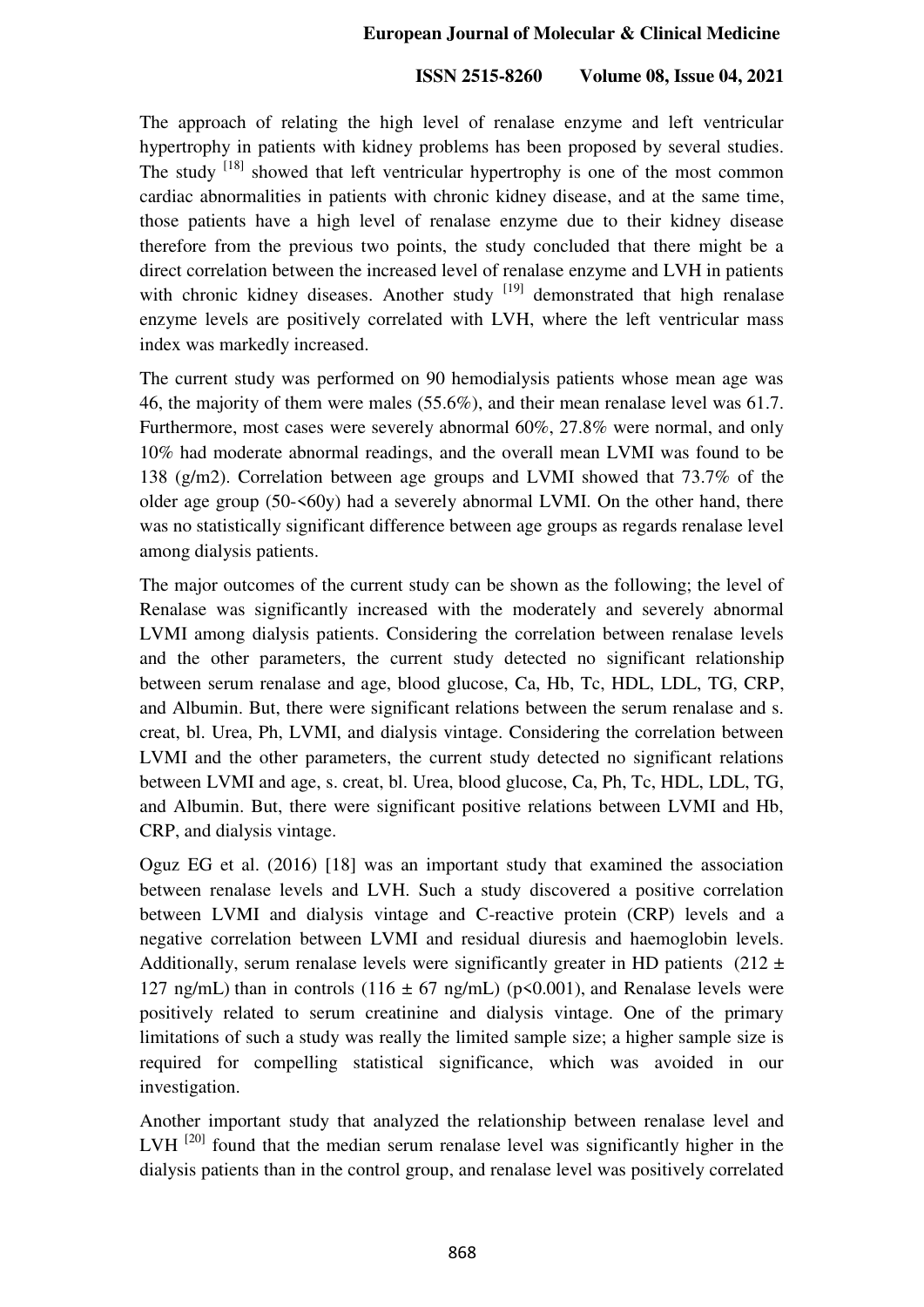The approach of relating the high level of renalase enzyme and left ventricular hypertrophy in patients with kidney problems has been proposed by several studies. The study <sup>[18]</sup> showed that left ventricular hypertrophy is one of the most common cardiac abnormalities in patients with chronic kidney disease, and at the same time, those patients have a high level of renalase enzyme due to their kidney disease therefore from the previous two points, the study concluded that there might be a direct correlation between the increased level of renalase enzyme and LVH in patients with chronic kidney diseases. Another study  $[19]$  demonstrated that high renalase enzyme levels are positively correlated with LVH, where the left ventricular mass index was markedly increased.

The current study was performed on 90 hemodialysis patients whose mean age was 46, the majority of them were males (55.6%), and their mean renalase level was 61.7. Furthermore, most cases were severely abnormal 60%, 27.8% were normal, and only 10% had moderate abnormal readings, and the overall mean LVMI was found to be 138 (g/m2). Correlation between age groups and LVMI showed that 73.7% of the older age group  $(50-50)$  had a severely abnormal LVMI. On the other hand, there was no statistically significant difference between age groups as regards renalase level among dialysis patients.

The major outcomes of the current study can be shown as the following; the level of Renalase was significantly increased with the moderately and severely abnormal LVMI among dialysis patients. Considering the correlation between renalase levels and the other parameters, the current study detected no significant relationship between serum renalase and age, blood glucose, Ca, Hb, Tc, HDL, LDL, TG, CRP, and Albumin. But, there were significant relations between the serum renalase and s. creat, bl. Urea, Ph, LVMI, and dialysis vintage. Considering the correlation between LVMI and the other parameters, the current study detected no significant relations between LVMI and age, s. creat, bl. Urea, blood glucose, Ca, Ph, Tc, HDL, LDL, TG, and Albumin. But, there were significant positive relations between LVMI and Hb, CRP, and dialysis vintage.

Oguz EG et al. (2016) [18] was an important study that examined the association between renalase levels and LVH. Such a study discovered a positive correlation between LVMI and dialysis vintage and C-reactive protein (CRP) levels and a negative correlation between LVMI and residual diuresis and haemoglobin levels. Additionally, serum renalase levels were significantly greater in HD patients (212  $\pm$ ) 127 ng/mL) than in controls (116  $\pm$  67 ng/mL) (p<0.001), and Renalase levels were positively related to serum creatinine and dialysis vintage. One of the primary limitations of such a study was really the limited sample size; a higher sample size is required for compelling statistical significance, which was avoided in our investigation.

Another important study that analyzed the relationship between renalase level and LVH $^{[20]}$  found that the median serum renalase level was significantly higher in the dialysis patients than in the control group, and renalase level was positively correlated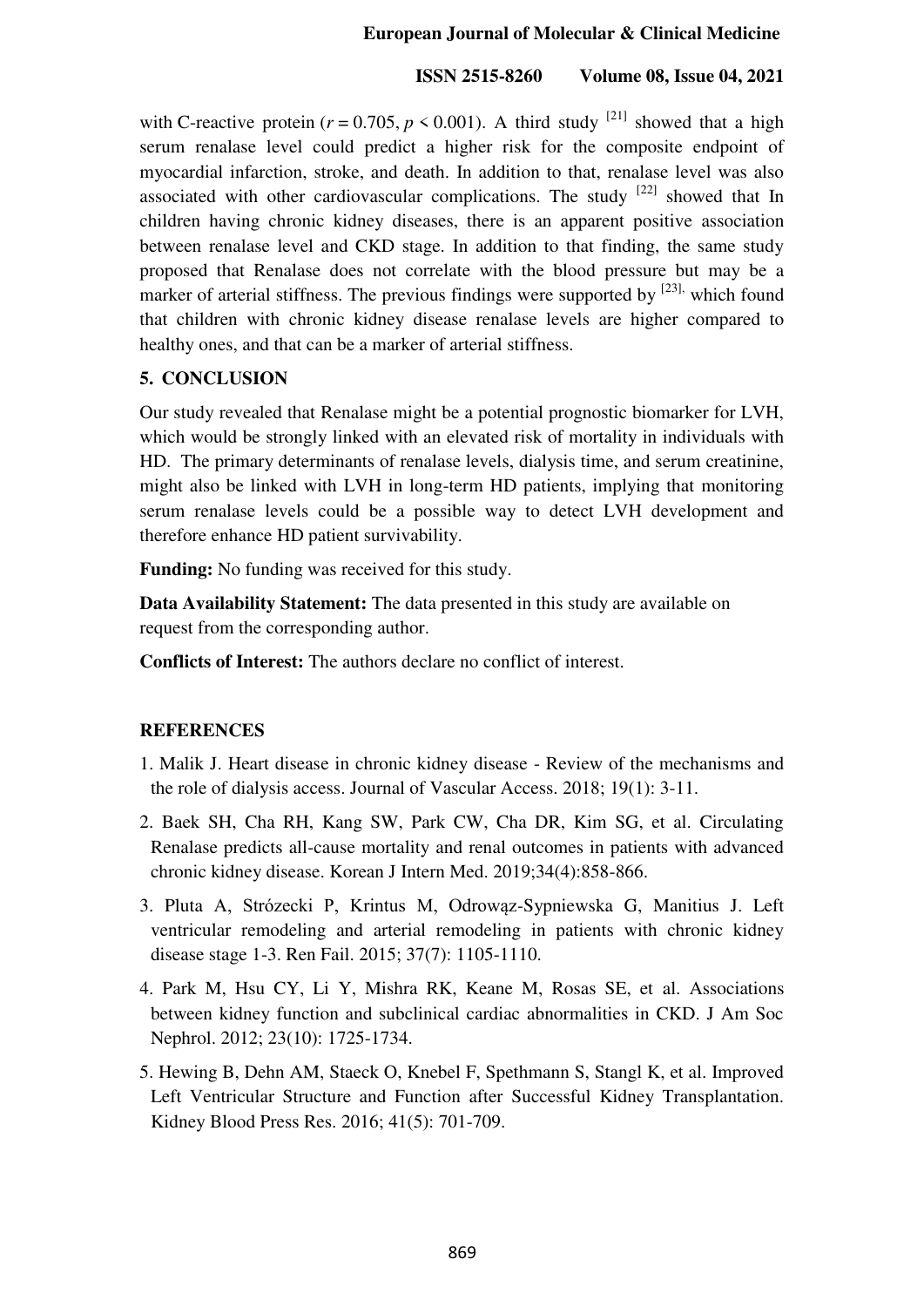## **ISSN 2515-8260 Volume 08, Issue 04, 2021**

with [C-reactive protein](https://www.sciencedirect.com/topics/medicine-and-dentistry/c-reactive-protein) ( $r = 0.705$ ,  $p \le 0.001$ ). A third study <sup>[21]</sup> showed that a high serum renalase level could predict a higher risk for the composite endpoint of myocardial infarction, stroke, and death. In addition to that, renalase level was also associated with other cardiovascular complications. The study  $[22]$  showed that In children having chronic kidney diseases, there is an apparent positive association between renalase level and CKD stage. In addition to that finding, the same study proposed that Renalase does not correlate with the blood pressure but may be a marker of arterial stiffness. The previous findings were supported by  $^{[23]}$ , which found that children with chronic kidney disease renalase levels are higher compared to healthy ones, and that can be a marker of arterial stiffness.

## **5. CONCLUSION**

Our study revealed that Renalase might be a potential prognostic biomarker for LVH, which would be strongly linked with an elevated risk of mortality in individuals with HD. The primary determinants of renalase levels, dialysis time, and serum creatinine, might also be linked with LVH in long-term HD patients, implying that monitoring serum renalase levels could be a possible way to detect LVH development and therefore enhance HD patient survivability.

**Funding:** No funding was received for this study.

**Data Availability Statement:** The data presented in this study are available on request from the corresponding author.

**Conflicts of Interest:** The authors declare no conflict of interest.

## **REFERENCES**

- 1. Malik J. Heart disease in chronic kidney disease Review of the mechanisms and the role of dialysis access. Journal of Vascular Access. 2018; 19(1): 3-11.
- 2. Baek SH, Cha RH, Kang SW, Park CW, Cha DR, Kim SG, et al. Circulating Renalase predicts all-cause mortality and renal outcomes in patients with advanced chronic kidney disease. Korean J Intern Med. 2019;34(4):858-866.
- 3. Pluta A, Strózecki P, Krintus M, Odrowąz-Sypniewska G, Manitius J. Left ventricular remodeling and arterial remodeling in patients with chronic kidney disease stage 1-3. Ren Fail. 2015; 37(7): 1105-1110.
- 4. Park M, Hsu CY, Li Y, Mishra RK, Keane M, Rosas SE, et al. Associations between kidney function and subclinical cardiac abnormalities in CKD. J Am Soc Nephrol. 2012; 23(10): 1725-1734.
- 5. Hewing B, Dehn AM, Staeck O, Knebel F, Spethmann S, Stangl K, et al. Improved Left Ventricular Structure and Function after Successful Kidney Transplantation. Kidney Blood Press Res. 2016; 41(5): 701-709.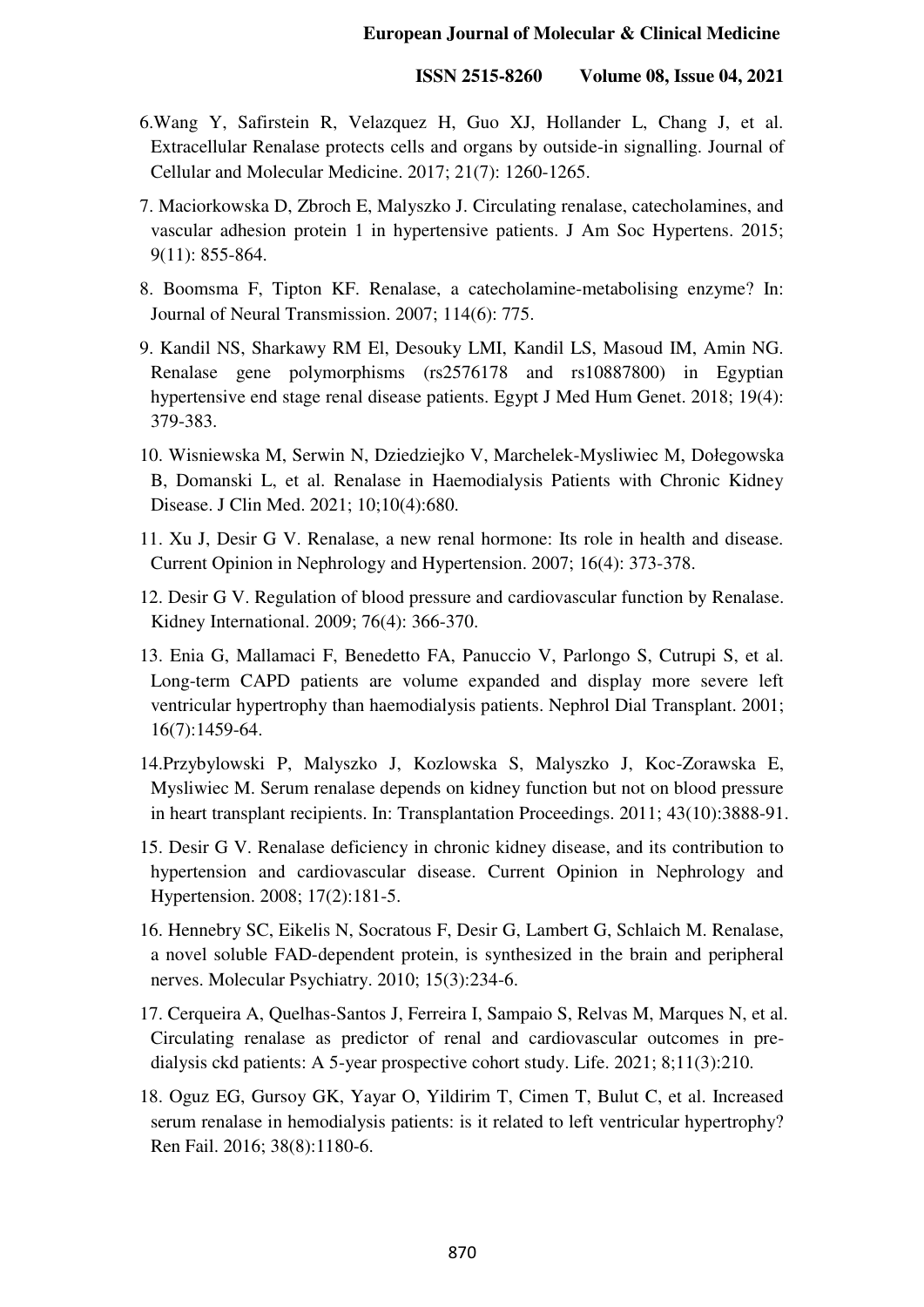- 6.Wang Y, Safirstein R, Velazquez H, Guo XJ, Hollander L, Chang J, et al. Extracellular Renalase protects cells and organs by outside-in signalling. Journal of Cellular and Molecular Medicine. 2017; 21(7): 1260-1265.
- 7. Maciorkowska D, Zbroch E, Malyszko J. Circulating renalase, catecholamines, and vascular adhesion protein 1 in hypertensive patients. J Am Soc Hypertens. 2015; 9(11): 855-864.
- 8. Boomsma F, Tipton KF. Renalase, a catecholamine-metabolising enzyme? In: Journal of Neural Transmission. 2007; 114(6): 775.
- 9. Kandil NS, Sharkawy RM El, Desouky LMI, Kandil LS, Masoud IM, Amin NG. Renalase gene polymorphisms (rs2576178 and rs10887800) in Egyptian hypertensive end stage renal disease patients. Egypt J Med Hum Genet. 2018; 19(4): 379-383.
- 10. Wisniewska M, Serwin N, Dziedziejko V, Marchelek-Mysliwiec M, Dołegowska B, Domanski L, et al. Renalase in Haemodialysis Patients with Chronic Kidney Disease. J Clin Med. 2021; 10;10(4):680.
- 11. Xu J, Desir G V. Renalase, a new renal hormone: Its role in health and disease. Current Opinion in Nephrology and Hypertension. 2007; 16(4): 373-378.
- 12. Desir G V. Regulation of blood pressure and cardiovascular function by Renalase. Kidney International. 2009; 76(4): 366-370.
- 13. Enia G, Mallamaci F, Benedetto FA, Panuccio V, Parlongo S, Cutrupi S, et al. Long-term CAPD patients are volume expanded and display more severe left ventricular hypertrophy than haemodialysis patients. Nephrol Dial Transplant. 2001; 16(7):1459-64.
- 14.Przybylowski P, Malyszko J, Kozlowska S, Malyszko J, Koc-Zorawska E, Mysliwiec M. Serum renalase depends on kidney function but not on blood pressure in heart transplant recipients. In: Transplantation Proceedings. 2011; 43(10):3888-91.
- 15. Desir G V. Renalase deficiency in chronic kidney disease, and its contribution to hypertension and cardiovascular disease. Current Opinion in Nephrology and Hypertension. 2008; 17(2):181-5.
- 16. Hennebry SC, Eikelis N, Socratous F, Desir G, Lambert G, Schlaich M. Renalase, a novel soluble FAD-dependent protein, is synthesized in the brain and peripheral nerves. Molecular Psychiatry. 2010; 15(3):234-6.
- 17. Cerqueira A, Quelhas-Santos J, Ferreira I, Sampaio S, Relvas M, Marques N, et al. Circulating renalase as predictor of renal and cardiovascular outcomes in predialysis ckd patients: A 5-year prospective cohort study. Life. 2021; 8;11(3):210.
- 18. Oguz EG, Gursoy GK, Yayar O, Yildirim T, Cimen T, Bulut C, et al. Increased serum renalase in hemodialysis patients: is it related to left ventricular hypertrophy? Ren Fail. 2016; 38(8):1180-6.